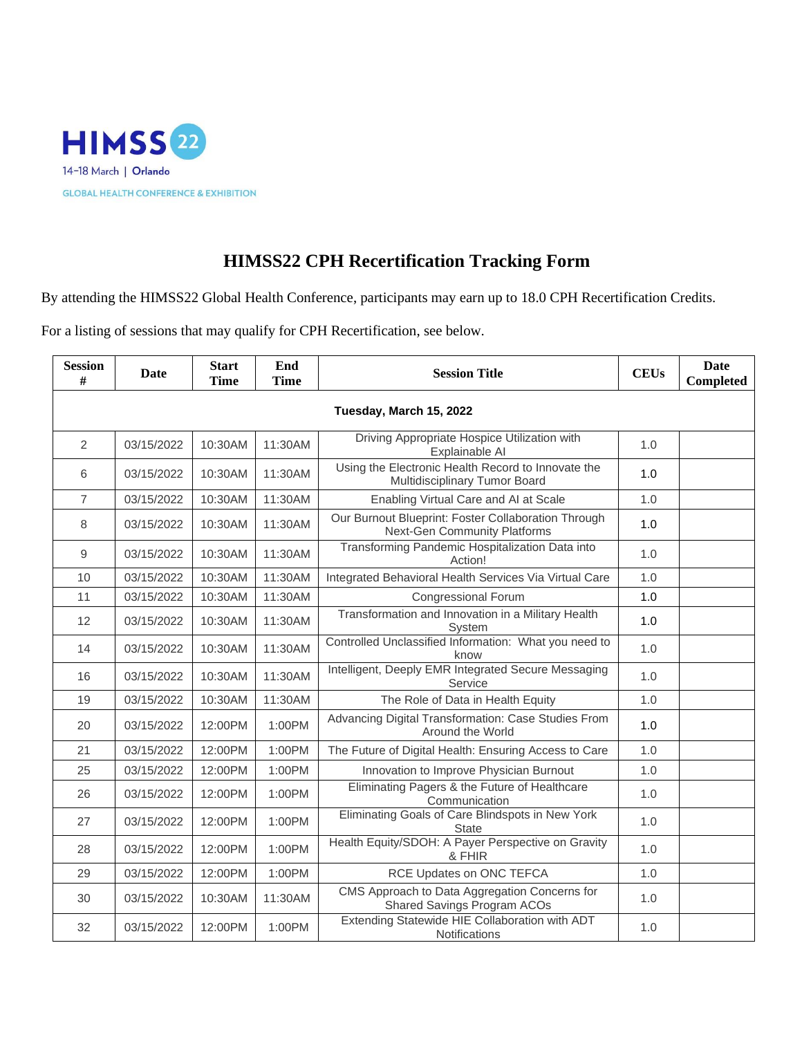

## **HIMSS22 CPH Recertification Tracking Form**

By attending the HIMSS22 Global Health Conference, participants may earn up to 18.0 CPH Recertification Credits.

For a listing of sessions that may qualify for CPH Recertification, see below.

| <b>Session</b><br># | Date                    | <b>Start</b><br><b>Time</b> | End<br><b>Time</b> | <b>Session Title</b>                                                                | <b>CEUs</b> | <b>Date</b><br><b>Completed</b> |  |  |  |  |
|---------------------|-------------------------|-----------------------------|--------------------|-------------------------------------------------------------------------------------|-------------|---------------------------------|--|--|--|--|
|                     | Tuesday, March 15, 2022 |                             |                    |                                                                                     |             |                                 |  |  |  |  |
| 2                   | 03/15/2022              | 10:30AM                     | 11:30AM            | Driving Appropriate Hospice Utilization with<br>Explainable AI                      | 1.0         |                                 |  |  |  |  |
| 6                   | 03/15/2022              | 10:30AM                     | 11:30AM            | Using the Electronic Health Record to Innovate the<br>Multidisciplinary Tumor Board | 1.0         |                                 |  |  |  |  |
| $\overline{7}$      | 03/15/2022              | 10:30AM                     | 11:30AM            | Enabling Virtual Care and AI at Scale                                               | 1.0         |                                 |  |  |  |  |
| 8                   | 03/15/2022              | 10:30AM                     | 11:30AM            | Our Burnout Blueprint: Foster Collaboration Through<br>Next-Gen Community Platforms | 1.0         |                                 |  |  |  |  |
| 9                   | 03/15/2022              | 10:30AM                     | 11:30AM            | Transforming Pandemic Hospitalization Data into<br>Action!                          | 1.0         |                                 |  |  |  |  |
| 10                  | 03/15/2022              | 10:30AM                     | 11:30AM            | Integrated Behavioral Health Services Via Virtual Care                              | 1.0         |                                 |  |  |  |  |
| 11                  | 03/15/2022              | 10:30AM                     | 11:30AM            | <b>Congressional Forum</b>                                                          | 1.0         |                                 |  |  |  |  |
| 12                  | 03/15/2022              | 10:30AM                     | 11:30AM            | Transformation and Innovation in a Military Health<br>System                        | 1.0         |                                 |  |  |  |  |
| 14                  | 03/15/2022              | 10:30AM                     | 11:30AM            | Controlled Unclassified Information: What you need to<br>know                       | 1.0         |                                 |  |  |  |  |
| 16                  | 03/15/2022              | 10:30AM                     | 11:30AM            | Intelligent, Deeply EMR Integrated Secure Messaging<br>Service                      | 1.0         |                                 |  |  |  |  |
| 19                  | 03/15/2022              | 10:30AM                     | 11:30AM            | The Role of Data in Health Equity                                                   | 1.0         |                                 |  |  |  |  |
| 20                  | 03/15/2022              | 12:00PM                     | 1:00PM             | Advancing Digital Transformation: Case Studies From<br>Around the World             | 1.0         |                                 |  |  |  |  |
| 21                  | 03/15/2022              | 12:00PM                     | 1:00PM             | The Future of Digital Health: Ensuring Access to Care                               | 1.0         |                                 |  |  |  |  |
| 25                  | 03/15/2022              | 12:00PM                     | 1:00PM             | Innovation to Improve Physician Burnout                                             | 1.0         |                                 |  |  |  |  |
| 26                  | 03/15/2022              | 12:00PM                     | 1:00PM             | Eliminating Pagers & the Future of Healthcare<br>Communication                      | 1.0         |                                 |  |  |  |  |
| 27                  | 03/15/2022              | 12:00PM                     | 1:00PM             | Eliminating Goals of Care Blindspots in New York<br><b>State</b>                    | 1.0         |                                 |  |  |  |  |
| 28                  | 03/15/2022              | 12:00PM                     | 1:00PM             | Health Equity/SDOH: A Payer Perspective on Gravity<br>& FHIR                        | 1.0         |                                 |  |  |  |  |
| 29                  | 03/15/2022              | 12:00PM                     | 1:00PM             | RCE Updates on ONC TEFCA                                                            | 1.0         |                                 |  |  |  |  |
| 30                  | 03/15/2022              | 10:30AM                     | 11:30AM            | CMS Approach to Data Aggregation Concerns for<br>Shared Savings Program ACOs        | 1.0         |                                 |  |  |  |  |
| 32                  | 03/15/2022              | 12:00PM                     | 1:00PM             | Extending Statewide HIE Collaboration with ADT<br>Notifications                     | 1.0         |                                 |  |  |  |  |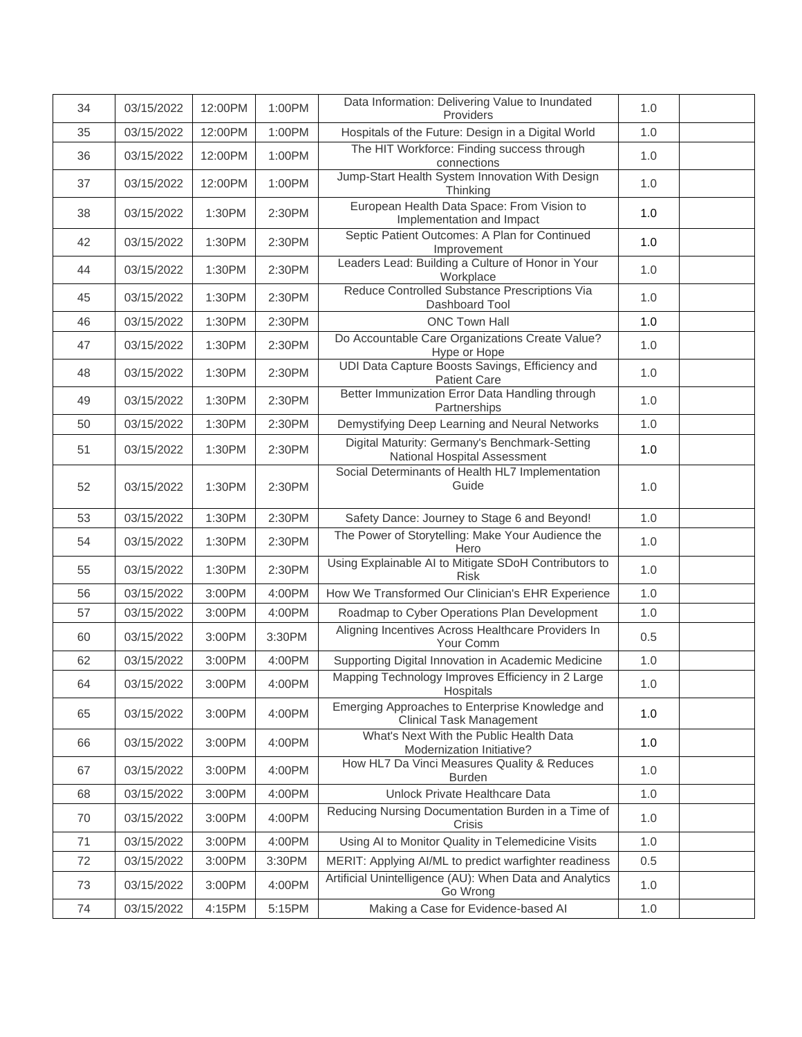| 34 | 03/15/2022 | 12:00PM | 1:00PM | Data Information: Delivering Value to Inundated<br>Providers                       | 1.0 |  |
|----|------------|---------|--------|------------------------------------------------------------------------------------|-----|--|
| 35 | 03/15/2022 | 12:00PM | 1:00PM | Hospitals of the Future: Design in a Digital World                                 | 1.0 |  |
| 36 | 03/15/2022 | 12:00PM | 1:00PM | The HIT Workforce: Finding success through<br>connections                          | 1.0 |  |
| 37 | 03/15/2022 | 12:00PM | 1:00PM | Jump-Start Health System Innovation With Design<br>Thinking                        | 1.0 |  |
| 38 | 03/15/2022 | 1:30PM  | 2:30PM | European Health Data Space: From Vision to<br>Implementation and Impact            | 1.0 |  |
| 42 | 03/15/2022 | 1:30PM  | 2:30PM | Septic Patient Outcomes: A Plan for Continued<br>Improvement                       | 1.0 |  |
| 44 | 03/15/2022 | 1:30PM  | 2:30PM | Leaders Lead: Building a Culture of Honor in Your<br>Workplace                     | 1.0 |  |
| 45 | 03/15/2022 | 1:30PM  | 2:30PM | Reduce Controlled Substance Prescriptions Via<br>Dashboard Tool                    | 1.0 |  |
| 46 | 03/15/2022 | 1:30PM  | 2:30PM | <b>ONC Town Hall</b>                                                               | 1.0 |  |
| 47 | 03/15/2022 | 1:30PM  | 2:30PM | Do Accountable Care Organizations Create Value?<br>Hype or Hope                    | 1.0 |  |
| 48 | 03/15/2022 | 1:30PM  | 2:30PM | UDI Data Capture Boosts Savings, Efficiency and<br><b>Patient Care</b>             | 1.0 |  |
| 49 | 03/15/2022 | 1:30PM  | 2:30PM | Better Immunization Error Data Handling through<br>Partnerships                    | 1.0 |  |
| 50 | 03/15/2022 | 1:30PM  | 2:30PM | Demystifying Deep Learning and Neural Networks                                     | 1.0 |  |
| 51 | 03/15/2022 | 1:30PM  | 2:30PM | Digital Maturity: Germany's Benchmark-Setting<br>National Hospital Assessment      | 1.0 |  |
| 52 | 03/15/2022 | 1:30PM  | 2:30PM | Social Determinants of Health HL7 Implementation<br>Guide                          | 1.0 |  |
| 53 | 03/15/2022 | 1:30PM  | 2:30PM | Safety Dance: Journey to Stage 6 and Beyond!                                       | 1.0 |  |
| 54 | 03/15/2022 | 1:30PM  | 2:30PM | The Power of Storytelling: Make Your Audience the<br>Hero                          | 1.0 |  |
| 55 | 03/15/2022 | 1:30PM  | 2:30PM | Using Explainable AI to Mitigate SDoH Contributors to<br><b>Risk</b>               | 1.0 |  |
| 56 | 03/15/2022 | 3:00PM  | 4:00PM | How We Transformed Our Clinician's EHR Experience                                  | 1.0 |  |
| 57 | 03/15/2022 | 3:00PM  | 4:00PM | Roadmap to Cyber Operations Plan Development                                       | 1.0 |  |
| 60 | 03/15/2022 | 3:00PM  | 3:30PM | Aligning Incentives Across Healthcare Providers In<br>Your Comm                    | 0.5 |  |
| 62 | 03/15/2022 | 3:00PM  | 4:00PM | Supporting Digital Innovation in Academic Medicine                                 | 1.0 |  |
| 64 | 03/15/2022 | 3:00PM  | 4:00PM | Mapping Technology Improves Efficiency in 2 Large<br>Hospitals                     | 1.0 |  |
| 65 | 03/15/2022 | 3:00PM  | 4:00PM | Emerging Approaches to Enterprise Knowledge and<br><b>Clinical Task Management</b> | 1.0 |  |
| 66 | 03/15/2022 | 3:00PM  | 4:00PM | What's Next With the Public Health Data<br>Modernization Initiative?               | 1.0 |  |
| 67 | 03/15/2022 | 3:00PM  | 4:00PM | How HL7 Da Vinci Measures Quality & Reduces<br><b>Burden</b>                       | 1.0 |  |
| 68 | 03/15/2022 | 3:00PM  | 4:00PM | Unlock Private Healthcare Data                                                     | 1.0 |  |
| 70 | 03/15/2022 | 3:00PM  | 4:00PM | Reducing Nursing Documentation Burden in a Time of<br><b>Crisis</b>                | 1.0 |  |
| 71 | 03/15/2022 | 3:00PM  | 4:00PM | Using AI to Monitor Quality in Telemedicine Visits                                 | 1.0 |  |
| 72 | 03/15/2022 | 3:00PM  | 3:30PM | MERIT: Applying AI/ML to predict warfighter readiness                              | 0.5 |  |
| 73 | 03/15/2022 | 3:00PM  | 4:00PM | Artificial Unintelligence (AU): When Data and Analytics<br>Go Wrong                | 1.0 |  |
| 74 | 03/15/2022 | 4:15PM  | 5:15PM | Making a Case for Evidence-based Al                                                | 1.0 |  |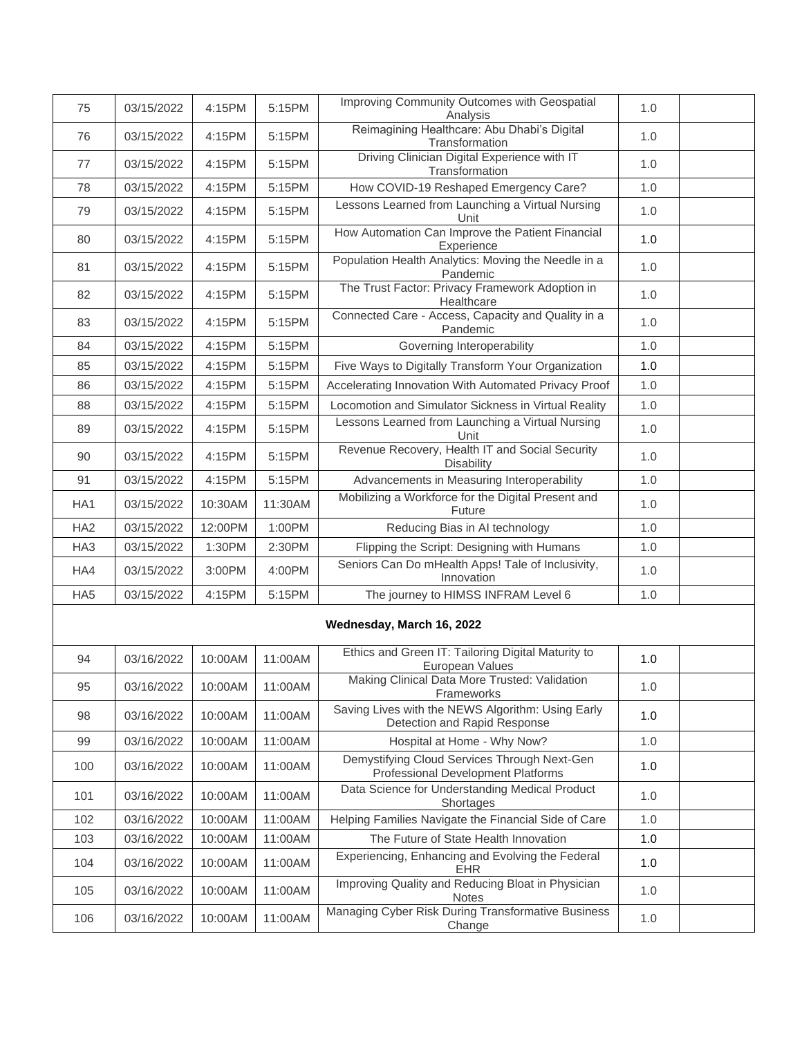| 75                        | 03/15/2022 | 4:15PM  | 5:15PM  | Improving Community Outcomes with Geospatial<br>Analysis                           | 1.0 |  |  |  |
|---------------------------|------------|---------|---------|------------------------------------------------------------------------------------|-----|--|--|--|
| 76                        | 03/15/2022 | 4:15PM  | 5:15PM  | Reimagining Healthcare: Abu Dhabi's Digital<br>Transformation                      | 1.0 |  |  |  |
| 77                        | 03/15/2022 | 4:15PM  | 5:15PM  | Driving Clinician Digital Experience with IT<br>Transformation                     | 1.0 |  |  |  |
| 78                        | 03/15/2022 | 4:15PM  | 5:15PM  | How COVID-19 Reshaped Emergency Care?                                              | 1.0 |  |  |  |
| 79                        | 03/15/2022 | 4:15PM  | 5:15PM  | Lessons Learned from Launching a Virtual Nursing<br>Unit                           | 1.0 |  |  |  |
| 80                        | 03/15/2022 | 4:15PM  | 5:15PM  | How Automation Can Improve the Patient Financial<br>Experience                     | 1.0 |  |  |  |
| 81                        | 03/15/2022 | 4:15PM  | 5:15PM  | Population Health Analytics: Moving the Needle in a<br>Pandemic                    | 1.0 |  |  |  |
| 82                        | 03/15/2022 | 4:15PM  | 5:15PM  | The Trust Factor: Privacy Framework Adoption in<br>Healthcare                      | 1.0 |  |  |  |
| 83                        | 03/15/2022 | 4:15PM  | 5:15PM  | Connected Care - Access, Capacity and Quality in a<br>Pandemic                     | 1.0 |  |  |  |
| 84                        | 03/15/2022 | 4:15PM  | 5:15PM  | Governing Interoperability                                                         | 1.0 |  |  |  |
| 85                        | 03/15/2022 | 4:15PM  | 5:15PM  | Five Ways to Digitally Transform Your Organization                                 | 1.0 |  |  |  |
| 86                        | 03/15/2022 | 4:15PM  | 5:15PM  | Accelerating Innovation With Automated Privacy Proof                               | 1.0 |  |  |  |
| 88                        | 03/15/2022 | 4:15PM  | 5:15PM  | Locomotion and Simulator Sickness in Virtual Reality                               | 1.0 |  |  |  |
| 89                        | 03/15/2022 | 4:15PM  | 5:15PM  | Lessons Learned from Launching a Virtual Nursing<br>Unit                           | 1.0 |  |  |  |
| 90                        | 03/15/2022 | 4:15PM  | 5:15PM  | Revenue Recovery, Health IT and Social Security<br><b>Disability</b>               | 1.0 |  |  |  |
| 91                        | 03/15/2022 | 4:15PM  | 5:15PM  | Advancements in Measuring Interoperability                                         | 1.0 |  |  |  |
| HA <sub>1</sub>           | 03/15/2022 | 10:30AM | 11:30AM | Mobilizing a Workforce for the Digital Present and<br>Future                       | 1.0 |  |  |  |
| HA <sub>2</sub>           | 03/15/2022 | 12:00PM | 1:00PM  | Reducing Bias in AI technology                                                     | 1.0 |  |  |  |
| HA <sub>3</sub>           | 03/15/2022 | 1:30PM  | 2:30PM  | Flipping the Script: Designing with Humans                                         | 1.0 |  |  |  |
| HA4                       | 03/15/2022 | 3:00PM  | 4:00PM  | Seniors Can Do mHealth Apps! Tale of Inclusivity,<br>Innovation                    | 1.0 |  |  |  |
| HA <sub>5</sub>           | 03/15/2022 | 4:15PM  | 5:15PM  | The journey to HIMSS INFRAM Level 6                                                | 1.0 |  |  |  |
| Wednesday, March 16, 2022 |            |         |         |                                                                                    |     |  |  |  |
| 94                        | 03/16/2022 | 10:00AM | 11:00AM | Ethics and Green IT: Tailoring Digital Maturity to<br>European Values              | 1.0 |  |  |  |
| 95                        | 03/16/2022 | 10:00AM | 11:00AM | Making Clinical Data More Trusted: Validation<br>Frameworks                        | 1.0 |  |  |  |
| 98                        | 03/16/2022 | 10:00AM | 11:00AM | Saving Lives with the NEWS Algorithm: Using Early<br>Detection and Rapid Response  | 1.0 |  |  |  |
| 99                        | 03/16/2022 | 10:00AM | 11:00AM | Hospital at Home - Why Now?                                                        | 1.0 |  |  |  |
| 100                       | 03/16/2022 | 10:00AM | 11:00AM | Demystifying Cloud Services Through Next-Gen<br>Professional Development Platforms | 1.0 |  |  |  |
| 101                       | 03/16/2022 | 10:00AM | 11:00AM | Data Science for Understanding Medical Product<br>Shortages                        | 1.0 |  |  |  |
| 102                       | 03/16/2022 | 10:00AM | 11:00AM | Helping Families Navigate the Financial Side of Care                               | 1.0 |  |  |  |
| 103                       | 03/16/2022 | 10:00AM | 11:00AM | The Future of State Health Innovation                                              | 1.0 |  |  |  |
| 104                       | 03/16/2022 | 10:00AM | 11:00AM | Experiencing, Enhancing and Evolving the Federal<br><b>EHR</b>                     | 1.0 |  |  |  |
| 105                       | 03/16/2022 | 10:00AM | 11:00AM | Improving Quality and Reducing Bloat in Physician<br><b>Notes</b>                  | 1.0 |  |  |  |
| 106                       | 03/16/2022 | 10:00AM | 11:00AM | Managing Cyber Risk During Transformative Business<br>Change                       | 1.0 |  |  |  |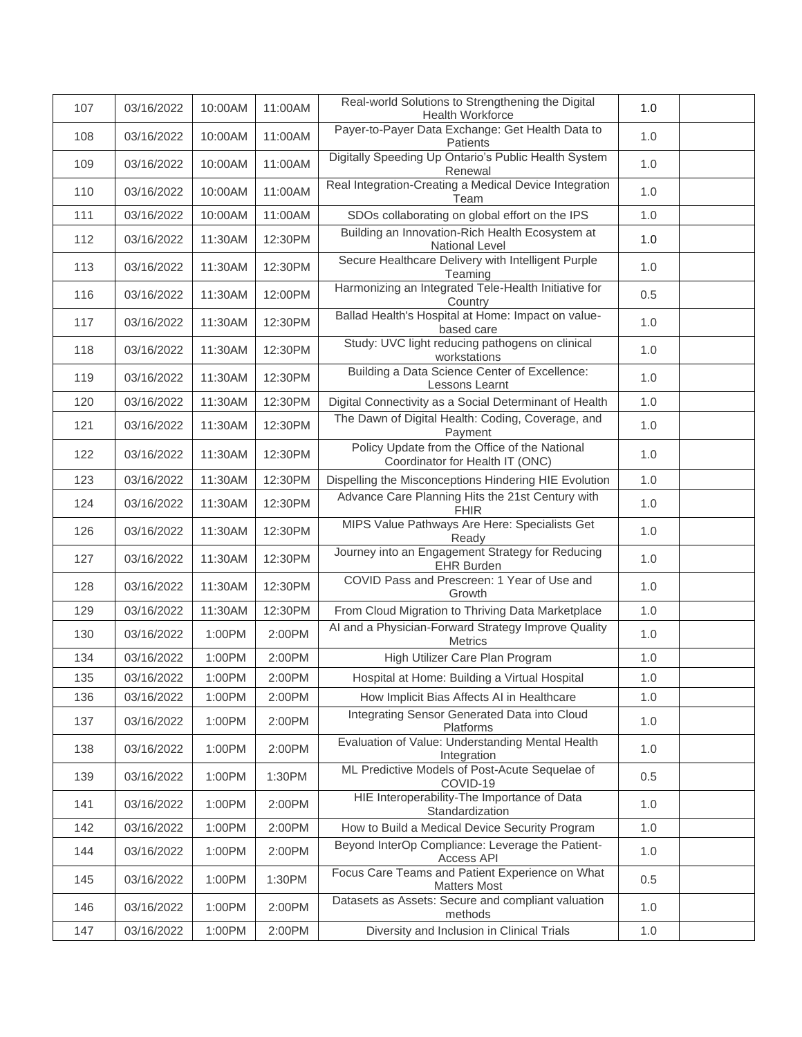| 107 | 03/16/2022 | 10:00AM | 11:00AM | Real-world Solutions to Strengthening the Digital<br>Health Workforce            | 1.0 |  |
|-----|------------|---------|---------|----------------------------------------------------------------------------------|-----|--|
| 108 | 03/16/2022 | 10:00AM | 11:00AM | Payer-to-Payer Data Exchange: Get Health Data to<br>Patients                     | 1.0 |  |
| 109 | 03/16/2022 | 10:00AM | 11:00AM | Digitally Speeding Up Ontario's Public Health System<br>Renewal                  | 1.0 |  |
| 110 | 03/16/2022 | 10:00AM | 11:00AM | Real Integration-Creating a Medical Device Integration<br>Team                   | 1.0 |  |
| 111 | 03/16/2022 | 10:00AM | 11:00AM | SDOs collaborating on global effort on the IPS                                   | 1.0 |  |
| 112 | 03/16/2022 | 11:30AM | 12:30PM | Building an Innovation-Rich Health Ecosystem at<br><b>National Level</b>         | 1.0 |  |
| 113 | 03/16/2022 | 11:30AM | 12:30PM | Secure Healthcare Delivery with Intelligent Purple<br>Teaming                    | 1.0 |  |
| 116 | 03/16/2022 | 11:30AM | 12:00PM | Harmonizing an Integrated Tele-Health Initiative for<br>Country                  | 0.5 |  |
| 117 | 03/16/2022 | 11:30AM | 12:30PM | Ballad Health's Hospital at Home: Impact on value-<br>based care                 | 1.0 |  |
| 118 | 03/16/2022 | 11:30AM | 12:30PM | Study: UVC light reducing pathogens on clinical<br>workstations                  | 1.0 |  |
| 119 | 03/16/2022 | 11:30AM | 12:30PM | Building a Data Science Center of Excellence:<br>Lessons Learnt                  | 1.0 |  |
| 120 | 03/16/2022 | 11:30AM | 12:30PM | Digital Connectivity as a Social Determinant of Health                           | 1.0 |  |
| 121 | 03/16/2022 | 11:30AM | 12:30PM | The Dawn of Digital Health: Coding, Coverage, and<br>Payment                     | 1.0 |  |
| 122 | 03/16/2022 | 11:30AM | 12:30PM | Policy Update from the Office of the National<br>Coordinator for Health IT (ONC) | 1.0 |  |
| 123 | 03/16/2022 | 11:30AM | 12:30PM | Dispelling the Misconceptions Hindering HIE Evolution                            | 1.0 |  |
| 124 | 03/16/2022 | 11:30AM | 12:30PM | Advance Care Planning Hits the 21st Century with<br><b>FHIR</b>                  | 1.0 |  |
| 126 | 03/16/2022 | 11:30AM | 12:30PM | MIPS Value Pathways Are Here: Specialists Get<br>Ready                           | 1.0 |  |
| 127 | 03/16/2022 | 11:30AM | 12:30PM | Journey into an Engagement Strategy for Reducing<br><b>EHR Burden</b>            | 1.0 |  |
| 128 | 03/16/2022 | 11:30AM | 12:30PM | COVID Pass and Prescreen: 1 Year of Use and<br>Growth                            | 1.0 |  |
| 129 | 03/16/2022 | 11:30AM | 12:30PM | From Cloud Migration to Thriving Data Marketplace                                | 1.0 |  |
| 130 | 03/16/2022 | 1:00PM  | 2:00PM  | Al and a Physician-Forward Strategy Improve Quality<br><b>Metrics</b>            | 1.0 |  |
| 134 | 03/16/2022 | 1:00PM  | 2:00PM  | High Utilizer Care Plan Program                                                  | 1.0 |  |
| 135 | 03/16/2022 | 1:00PM  | 2:00PM  | Hospital at Home: Building a Virtual Hospital                                    | 1.0 |  |
| 136 | 03/16/2022 | 1:00PM  | 2:00PM  | How Implicit Bias Affects AI in Healthcare                                       | 1.0 |  |
| 137 | 03/16/2022 | 1:00PM  | 2:00PM  | Integrating Sensor Generated Data into Cloud<br>Platforms                        | 1.0 |  |
| 138 | 03/16/2022 | 1:00PM  | 2:00PM  | Evaluation of Value: Understanding Mental Health<br>Integration                  | 1.0 |  |
| 139 | 03/16/2022 | 1:00PM  | 1:30PM  | ML Predictive Models of Post-Acute Sequelae of<br>COVID-19                       | 0.5 |  |
| 141 | 03/16/2022 | 1:00PM  | 2:00PM  | HIE Interoperability-The Importance of Data<br>Standardization                   | 1.0 |  |
| 142 | 03/16/2022 | 1:00PM  | 2:00PM  | How to Build a Medical Device Security Program                                   | 1.0 |  |
| 144 | 03/16/2022 | 1:00PM  | 2:00PM  | Beyond InterOp Compliance: Leverage the Patient-<br>Access API                   | 1.0 |  |
| 145 | 03/16/2022 | 1:00PM  | 1:30PM  | Focus Care Teams and Patient Experience on What<br><b>Matters Most</b>           | 0.5 |  |
| 146 | 03/16/2022 | 1:00PM  | 2:00PM  | Datasets as Assets: Secure and compliant valuation<br>methods                    | 1.0 |  |
| 147 | 03/16/2022 | 1:00PM  | 2:00PM  | Diversity and Inclusion in Clinical Trials                                       | 1.0 |  |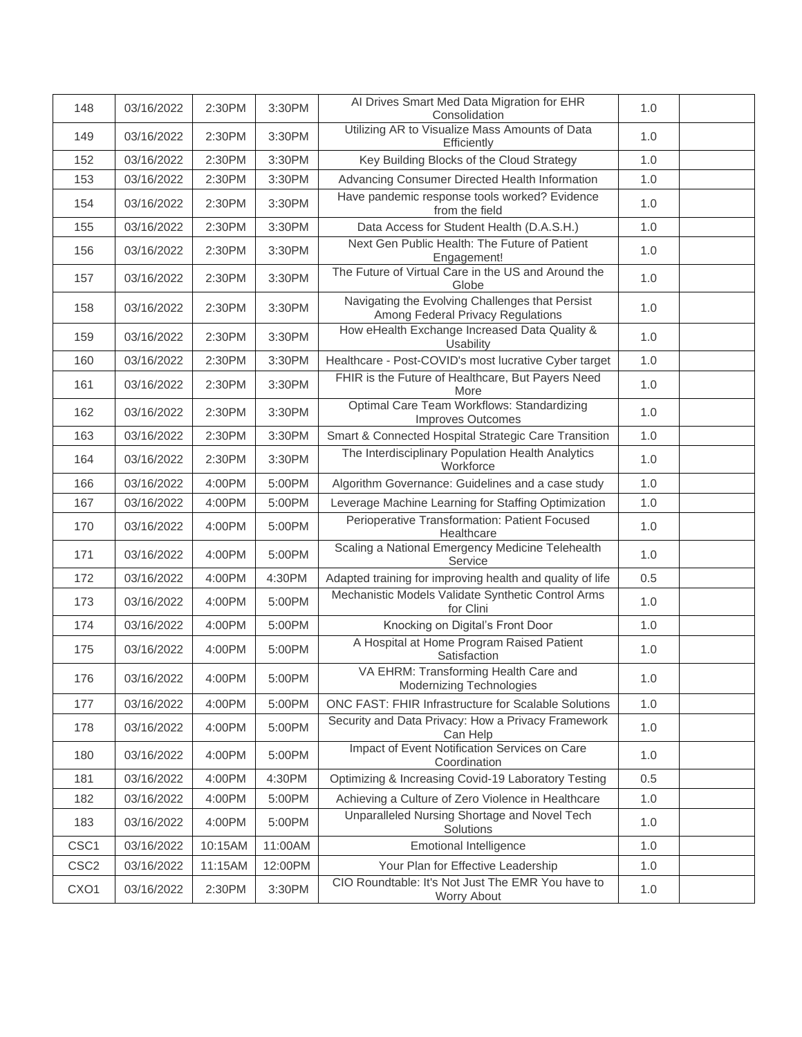| 148              | 03/16/2022 | 2:30PM  | 3:30PM  | Al Drives Smart Med Data Migration for EHR<br>Consolidation                          | 1.0 |  |
|------------------|------------|---------|---------|--------------------------------------------------------------------------------------|-----|--|
| 149              | 03/16/2022 | 2:30PM  | 3:30PM  | Utilizing AR to Visualize Mass Amounts of Data<br>Efficiently                        | 1.0 |  |
| 152              | 03/16/2022 | 2:30PM  | 3:30PM  | Key Building Blocks of the Cloud Strategy                                            | 1.0 |  |
| 153              | 03/16/2022 | 2:30PM  | 3:30PM  | Advancing Consumer Directed Health Information                                       | 1.0 |  |
| 154              | 03/16/2022 | 2:30PM  | 3:30PM  | Have pandemic response tools worked? Evidence<br>from the field                      | 1.0 |  |
| 155              | 03/16/2022 | 2:30PM  | 3:30PM  | Data Access for Student Health (D.A.S.H.)                                            | 1.0 |  |
| 156              | 03/16/2022 | 2:30PM  | 3:30PM  | Next Gen Public Health: The Future of Patient<br>Engagement!                         | 1.0 |  |
| 157              | 03/16/2022 | 2:30PM  | 3:30PM  | The Future of Virtual Care in the US and Around the<br>Globe                         | 1.0 |  |
| 158              | 03/16/2022 | 2:30PM  | 3:30PM  | Navigating the Evolving Challenges that Persist<br>Among Federal Privacy Regulations | 1.0 |  |
| 159              | 03/16/2022 | 2:30PM  | 3:30PM  | How eHealth Exchange Increased Data Quality &<br>Usability                           | 1.0 |  |
| 160              | 03/16/2022 | 2:30PM  | 3:30PM  | Healthcare - Post-COVID's most lucrative Cyber target                                | 1.0 |  |
| 161              | 03/16/2022 | 2:30PM  | 3:30PM  | FHIR is the Future of Healthcare, But Payers Need<br>More                            | 1.0 |  |
| 162              | 03/16/2022 | 2:30PM  | 3:30PM  | Optimal Care Team Workflows: Standardizing<br>Improves Outcomes                      | 1.0 |  |
| 163              | 03/16/2022 | 2:30PM  | 3:30PM  | Smart & Connected Hospital Strategic Care Transition                                 | 1.0 |  |
| 164              | 03/16/2022 | 2:30PM  | 3:30PM  | The Interdisciplinary Population Health Analytics<br>Workforce                       | 1.0 |  |
| 166              | 03/16/2022 | 4:00PM  | 5:00PM  | Algorithm Governance: Guidelines and a case study                                    | 1.0 |  |
| 167              | 03/16/2022 | 4:00PM  | 5:00PM  | Leverage Machine Learning for Staffing Optimization                                  | 1.0 |  |
| 170              | 03/16/2022 | 4:00PM  | 5:00PM  | Perioperative Transformation: Patient Focused<br>Healthcare                          | 1.0 |  |
| 171              | 03/16/2022 | 4:00PM  | 5:00PM  | Scaling a National Emergency Medicine Telehealth<br>Service                          | 1.0 |  |
| 172              | 03/16/2022 | 4:00PM  | 4:30PM  | Adapted training for improving health and quality of life                            | 0.5 |  |
| 173              | 03/16/2022 | 4:00PM  | 5:00PM  | Mechanistic Models Validate Synthetic Control Arms<br>for Clini                      | 1.0 |  |
| 174              | 03/16/2022 | 4:00PM  | 5:00PM  | Knocking on Digital's Front Door                                                     | 1.0 |  |
| 175              | 03/16/2022 | 4:00PM  | 5:00PM  | A Hospital at Home Program Raised Patient<br>Satisfaction                            | 1.0 |  |
| 176              | 03/16/2022 | 4:00PM  | 5:00PM  | VA EHRM: Transforming Health Care and<br><b>Modernizing Technologies</b>             | 1.0 |  |
| 177              | 03/16/2022 | 4:00PM  | 5:00PM  | ONC FAST: FHIR Infrastructure for Scalable Solutions                                 | 1.0 |  |
| 178              | 03/16/2022 | 4:00PM  | 5:00PM  | Security and Data Privacy: How a Privacy Framework<br>Can Help                       | 1.0 |  |
| 180              | 03/16/2022 | 4:00PM  | 5:00PM  | Impact of Event Notification Services on Care<br>Coordination                        | 1.0 |  |
| 181              | 03/16/2022 | 4:00PM  | 4:30PM  | Optimizing & Increasing Covid-19 Laboratory Testing                                  | 0.5 |  |
| 182              | 03/16/2022 | 4:00PM  | 5:00PM  | Achieving a Culture of Zero Violence in Healthcare                                   | 1.0 |  |
| 183              | 03/16/2022 | 4:00PM  | 5:00PM  | Unparalleled Nursing Shortage and Novel Tech<br>Solutions                            | 1.0 |  |
| CSC1             | 03/16/2022 | 10:15AM | 11:00AM | <b>Emotional Intelligence</b>                                                        | 1.0 |  |
| CSC <sub>2</sub> | 03/16/2022 | 11:15AM | 12:00PM | Your Plan for Effective Leadership                                                   | 1.0 |  |
| CXO <sub>1</sub> | 03/16/2022 | 2:30PM  | 3:30PM  | CIO Roundtable: It's Not Just The EMR You have to<br>Worry About                     | 1.0 |  |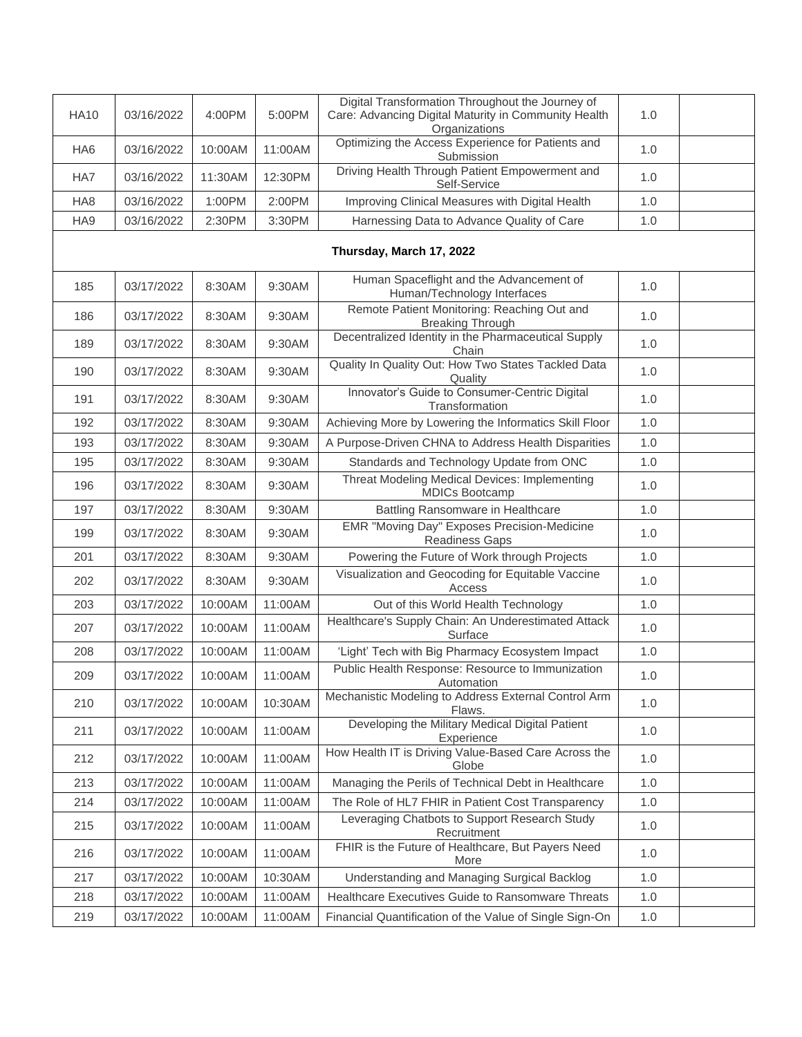| <b>HA10</b>     | 03/16/2022 | 4:00PM  | 5:00PM  | Digital Transformation Throughout the Journey of<br>Care: Advancing Digital Maturity in Community Health<br>Organizations | 1.0   |  |
|-----------------|------------|---------|---------|---------------------------------------------------------------------------------------------------------------------------|-------|--|
| HA <sub>6</sub> | 03/16/2022 | 10:00AM | 11:00AM | Optimizing the Access Experience for Patients and<br>Submission                                                           | 1.0   |  |
| HA7             | 03/16/2022 | 11:30AM | 12:30PM | Driving Health Through Patient Empowerment and<br>Self-Service                                                            | 1.0   |  |
| HA <sub>8</sub> | 03/16/2022 | 1:00PM  | 2:00PM  | Improving Clinical Measures with Digital Health                                                                           | 1.0   |  |
| HA9             | 03/16/2022 | 2:30PM  | 3:30PM  | Harnessing Data to Advance Quality of Care                                                                                | 1.0   |  |
|                 |            |         |         | Thursday, March 17, 2022                                                                                                  |       |  |
| 185             | 03/17/2022 | 8:30AM  | 9:30AM  | Human Spaceflight and the Advancement of<br>Human/Technology Interfaces                                                   | 1.0   |  |
| 186             | 03/17/2022 | 8:30AM  | 9:30AM  | Remote Patient Monitoring: Reaching Out and<br><b>Breaking Through</b>                                                    | 1.0   |  |
| 189             | 03/17/2022 | 8:30AM  | 9:30AM  | Decentralized Identity in the Pharmaceutical Supply<br>Chain                                                              | 1.0   |  |
| 190             | 03/17/2022 | 8:30AM  | 9:30AM  | Quality In Quality Out: How Two States Tackled Data<br>Quality                                                            | 1.0   |  |
| 191             | 03/17/2022 | 8:30AM  | 9:30AM  | Innovator's Guide to Consumer-Centric Digital<br>Transformation                                                           | 1.0   |  |
| 192             | 03/17/2022 | 8:30AM  | 9:30AM  | Achieving More by Lowering the Informatics Skill Floor                                                                    | 1.0   |  |
| 193             | 03/17/2022 | 8:30AM  | 9:30AM  | A Purpose-Driven CHNA to Address Health Disparities                                                                       | 1.0   |  |
| 195             | 03/17/2022 | 8:30AM  | 9:30AM  | Standards and Technology Update from ONC                                                                                  | 1.0   |  |
| 196             | 03/17/2022 | 8:30AM  | 9:30AM  | Threat Modeling Medical Devices: Implementing<br><b>MDICs Bootcamp</b>                                                    | 1.0   |  |
| 197             | 03/17/2022 | 8:30AM  | 9:30AM  | Battling Ransomware in Healthcare                                                                                         | 1.0   |  |
| 199             | 03/17/2022 | 8:30AM  | 9:30AM  | EMR "Moving Day" Exposes Precision-Medicine<br><b>Readiness Gaps</b>                                                      | 1.0   |  |
| 201             | 03/17/2022 | 8:30AM  | 9:30AM  | Powering the Future of Work through Projects                                                                              | 1.0   |  |
| 202             | 03/17/2022 | 8:30AM  | 9:30AM  | Visualization and Geocoding for Equitable Vaccine<br>Access                                                               | 1.0   |  |
| 203             | 03/17/2022 | 10:00AM | 11:00AM | Out of this World Health Technology                                                                                       | 1.0   |  |
| 207             | 03/17/2022 | 10:00AM | 11:00AM | Healthcare's Supply Chain: An Underestimated Attack<br>Surface                                                            | 1.0   |  |
| 208             | 03/17/2022 | 10:00AM | 11:00AM | 'Light' Tech with Big Pharmacy Ecosystem Impact                                                                           | 1.0   |  |
| 209             | 03/17/2022 | 10:00AM | 11:00AM | Public Health Response: Resource to Immunization<br>Automation                                                            | 1.0   |  |
| 210             | 03/17/2022 | 10:00AM | 10:30AM | Mechanistic Modeling to Address External Control Arm<br>Flaws.                                                            | 1.0   |  |
| 211             | 03/17/2022 | 10:00AM | 11:00AM | Developing the Military Medical Digital Patient<br>Experience                                                             | 1.0   |  |
| 212             | 03/17/2022 | 10:00AM | 11:00AM | How Health IT is Driving Value-Based Care Across the<br>Globe                                                             | 1.0   |  |
| 213             | 03/17/2022 | 10:00AM | 11:00AM | Managing the Perils of Technical Debt in Healthcare                                                                       | 1.0   |  |
| 214             | 03/17/2022 | 10:00AM | 11:00AM | The Role of HL7 FHIR in Patient Cost Transparency                                                                         | 1.0   |  |
| 215             | 03/17/2022 | 10:00AM | 11:00AM | Leveraging Chatbots to Support Research Study<br>Recruitment                                                              | 1.0   |  |
| 216             | 03/17/2022 | 10:00AM | 11:00AM | FHIR is the Future of Healthcare, But Payers Need<br>More                                                                 | 1.0   |  |
| 217             | 03/17/2022 | 10:00AM | 10:30AM | Understanding and Managing Surgical Backlog                                                                               | 1.0   |  |
| 218             | 03/17/2022 | 10:00AM | 11:00AM | Healthcare Executives Guide to Ransomware Threats                                                                         | 1.0   |  |
| 219             | 03/17/2022 | 10:00AM | 11:00AM | Financial Quantification of the Value of Single Sign-On                                                                   | $1.0$ |  |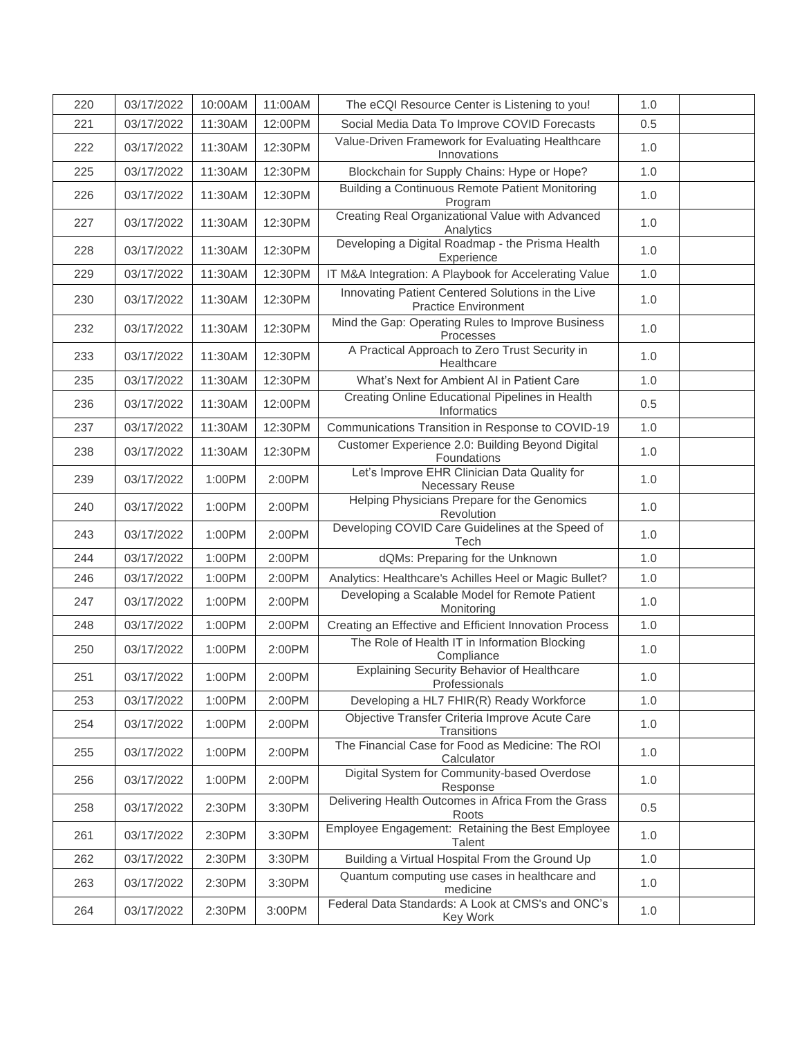| 220 | 03/17/2022 | 10:00AM | 11:00AM | The eCQI Resource Center is Listening to you!                                    | 1.0   |  |
|-----|------------|---------|---------|----------------------------------------------------------------------------------|-------|--|
| 221 | 03/17/2022 | 11:30AM | 12:00PM | Social Media Data To Improve COVID Forecasts                                     | 0.5   |  |
| 222 | 03/17/2022 | 11:30AM | 12:30PM | Value-Driven Framework for Evaluating Healthcare<br>Innovations                  | 1.0   |  |
| 225 | 03/17/2022 | 11:30AM | 12:30PM | Blockchain for Supply Chains: Hype or Hope?                                      | 1.0   |  |
| 226 | 03/17/2022 | 11:30AM | 12:30PM | Building a Continuous Remote Patient Monitoring<br>Program                       | 1.0   |  |
| 227 | 03/17/2022 | 11:30AM | 12:30PM | Creating Real Organizational Value with Advanced<br>Analytics                    | 1.0   |  |
| 228 | 03/17/2022 | 11:30AM | 12:30PM | Developing a Digital Roadmap - the Prisma Health<br>Experience                   | 1.0   |  |
| 229 | 03/17/2022 | 11:30AM | 12:30PM | IT M&A Integration: A Playbook for Accelerating Value                            | 1.0   |  |
| 230 | 03/17/2022 | 11:30AM | 12:30PM | Innovating Patient Centered Solutions in the Live<br><b>Practice Environment</b> | 1.0   |  |
| 232 | 03/17/2022 | 11:30AM | 12:30PM | Mind the Gap: Operating Rules to Improve Business<br>Processes                   | 1.0   |  |
| 233 | 03/17/2022 | 11:30AM | 12:30PM | A Practical Approach to Zero Trust Security in<br>Healthcare                     | 1.0   |  |
| 235 | 03/17/2022 | 11:30AM | 12:30PM | What's Next for Ambient AI in Patient Care                                       | 1.0   |  |
| 236 | 03/17/2022 | 11:30AM | 12:00PM | Creating Online Educational Pipelines in Health<br>Informatics                   | 0.5   |  |
| 237 | 03/17/2022 | 11:30AM | 12:30PM | Communications Transition in Response to COVID-19                                | 1.0   |  |
| 238 | 03/17/2022 | 11:30AM | 12:30PM | Customer Experience 2.0: Building Beyond Digital<br>Foundations                  | 1.0   |  |
| 239 | 03/17/2022 | 1:00PM  | 2:00PM  | Let's Improve EHR Clinician Data Quality for<br>Necessary Reuse                  | 1.0   |  |
| 240 | 03/17/2022 | 1:00PM  | 2:00PM  | Helping Physicians Prepare for the Genomics<br>Revolution                        | 1.0   |  |
| 243 | 03/17/2022 | 1:00PM  | 2:00PM  | Developing COVID Care Guidelines at the Speed of<br>Tech                         | 1.0   |  |
| 244 | 03/17/2022 | 1:00PM  | 2:00PM  | dQMs: Preparing for the Unknown                                                  | 1.0   |  |
| 246 | 03/17/2022 | 1:00PM  | 2:00PM  | Analytics: Healthcare's Achilles Heel or Magic Bullet?                           | 1.0   |  |
| 247 | 03/17/2022 | 1:00PM  | 2:00PM  | Developing a Scalable Model for Remote Patient<br>Monitoring                     | 1.0   |  |
| 248 | 03/17/2022 | 1:00PM  | 2:00PM  | Creating an Effective and Efficient Innovation Process                           | 1.0   |  |
| 250 | 03/17/2022 | 1:00PM  | 2:00PM  | The Role of Health IT in Information Blocking<br>Compliance                      | 1.0   |  |
| 251 | 03/17/2022 | 1:00PM  | 2:00PM  | <b>Explaining Security Behavior of Healthcare</b><br>Professionals               | 1.0   |  |
| 253 | 03/17/2022 | 1:00PM  | 2:00PM  | Developing a HL7 FHIR(R) Ready Workforce                                         | 1.0   |  |
| 254 | 03/17/2022 | 1:00PM  | 2:00PM  | Objective Transfer Criteria Improve Acute Care<br>Transitions                    | 1.0   |  |
| 255 | 03/17/2022 | 1:00PM  | 2:00PM  | The Financial Case for Food as Medicine: The ROI<br>Calculator                   | 1.0   |  |
| 256 | 03/17/2022 | 1:00PM  | 2:00PM  | Digital System for Community-based Overdose<br>Response                          | 1.0   |  |
| 258 | 03/17/2022 | 2:30PM  | 3:30PM  | Delivering Health Outcomes in Africa From the Grass<br>Roots                     | 0.5   |  |
| 261 | 03/17/2022 | 2:30PM  | 3:30PM  | Employee Engagement: Retaining the Best Employee<br>Talent                       | 1.0   |  |
| 262 | 03/17/2022 | 2:30PM  | 3:30PM  | Building a Virtual Hospital From the Ground Up                                   | 1.0   |  |
| 263 | 03/17/2022 | 2:30PM  | 3:30PM  | Quantum computing use cases in healthcare and<br>medicine                        | 1.0   |  |
| 264 | 03/17/2022 | 2:30PM  | 3:00PM  | Federal Data Standards: A Look at CMS's and ONC's<br>Key Work                    | $1.0$ |  |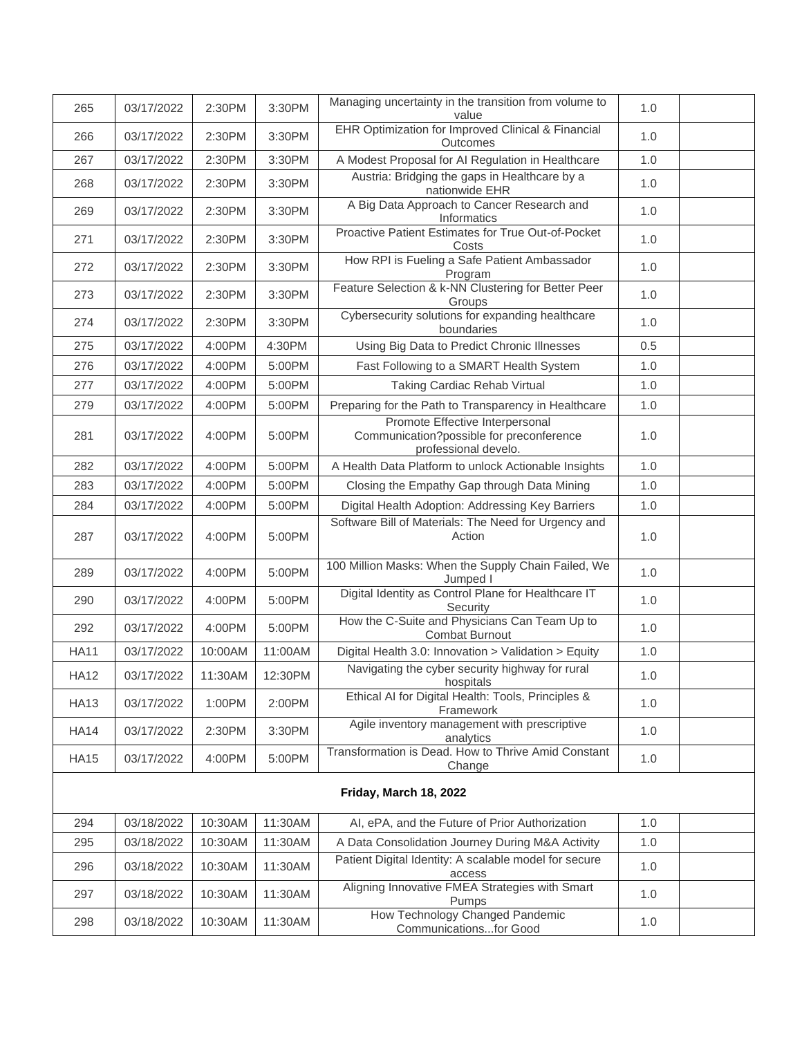| 265                    | 03/17/2022 | 2:30PM  | 3:30PM  | Managing uncertainty in the transition from volume to<br>value                                      | 1.0 |  |  |  |  |
|------------------------|------------|---------|---------|-----------------------------------------------------------------------------------------------------|-----|--|--|--|--|
| 266                    | 03/17/2022 | 2:30PM  | 3:30PM  | EHR Optimization for Improved Clinical & Financial<br>Outcomes                                      | 1.0 |  |  |  |  |
| 267                    | 03/17/2022 | 2:30PM  | 3:30PM  | A Modest Proposal for AI Regulation in Healthcare                                                   | 1.0 |  |  |  |  |
| 268                    | 03/17/2022 | 2:30PM  | 3:30PM  | Austria: Bridging the gaps in Healthcare by a<br>nationwide EHR                                     | 1.0 |  |  |  |  |
| 269                    | 03/17/2022 | 2:30PM  | 3:30PM  | A Big Data Approach to Cancer Research and<br>Informatics                                           | 1.0 |  |  |  |  |
| 271                    | 03/17/2022 | 2:30PM  | 3:30PM  | Proactive Patient Estimates for True Out-of-Pocket<br>Costs                                         | 1.0 |  |  |  |  |
| 272                    | 03/17/2022 | 2:30PM  | 3:30PM  | How RPI is Fueling a Safe Patient Ambassador<br>Program                                             | 1.0 |  |  |  |  |
| 273                    | 03/17/2022 | 2:30PM  | 3:30PM  | Feature Selection & k-NN Clustering for Better Peer<br>Groups                                       | 1.0 |  |  |  |  |
| 274                    | 03/17/2022 | 2:30PM  | 3:30PM  | Cybersecurity solutions for expanding healthcare<br>boundaries                                      | 1.0 |  |  |  |  |
| 275                    | 03/17/2022 | 4:00PM  | 4:30PM  | Using Big Data to Predict Chronic Illnesses                                                         | 0.5 |  |  |  |  |
| 276                    | 03/17/2022 | 4:00PM  | 5:00PM  | Fast Following to a SMART Health System                                                             | 1.0 |  |  |  |  |
| 277                    | 03/17/2022 | 4:00PM  | 5:00PM  | Taking Cardiac Rehab Virtual                                                                        | 1.0 |  |  |  |  |
| 279                    | 03/17/2022 | 4:00PM  | 5:00PM  | Preparing for the Path to Transparency in Healthcare                                                | 1.0 |  |  |  |  |
| 281                    | 03/17/2022 | 4:00PM  | 5:00PM  | Promote Effective Interpersonal<br>Communication?possible for preconference<br>professional develo. | 1.0 |  |  |  |  |
| 282                    | 03/17/2022 | 4:00PM  | 5:00PM  | A Health Data Platform to unlock Actionable Insights                                                | 1.0 |  |  |  |  |
| 283                    | 03/17/2022 | 4:00PM  | 5:00PM  | Closing the Empathy Gap through Data Mining                                                         | 1.0 |  |  |  |  |
| 284                    | 03/17/2022 | 4:00PM  | 5:00PM  | Digital Health Adoption: Addressing Key Barriers                                                    | 1.0 |  |  |  |  |
| 287                    | 03/17/2022 | 4:00PM  | 5:00PM  | Software Bill of Materials: The Need for Urgency and<br>Action                                      | 1.0 |  |  |  |  |
| 289                    | 03/17/2022 | 4:00PM  | 5:00PM  | 100 Million Masks: When the Supply Chain Failed, We<br>Jumped I                                     | 1.0 |  |  |  |  |
| 290                    | 03/17/2022 | 4:00PM  | 5:00PM  | Digital Identity as Control Plane for Healthcare IT<br>Security                                     | 1.0 |  |  |  |  |
| 292                    | 03/17/2022 | 4:00PM  | 5:00PM  | How the C-Suite and Physicians Can Team Up to<br><b>Combat Burnout</b>                              | 1.0 |  |  |  |  |
| <b>HA11</b>            | 03/17/2022 | 10:00AM | 11:00AM | Digital Health 3.0: Innovation > Validation > Equity                                                | 1.0 |  |  |  |  |
| <b>HA12</b>            | 03/17/2022 | 11:30AM | 12:30PM | Navigating the cyber security highway for rural<br>hospitals                                        | 1.0 |  |  |  |  |
| <b>HA13</b>            | 03/17/2022 | 1:00PM  | 2:00PM  | Ethical AI for Digital Health: Tools, Principles &<br>Framework                                     | 1.0 |  |  |  |  |
| <b>HA14</b>            | 03/17/2022 | 2:30PM  | 3:30PM  | Agile inventory management with prescriptive<br>analytics                                           | 1.0 |  |  |  |  |
| <b>HA15</b>            | 03/17/2022 | 4:00PM  | 5:00PM  | Transformation is Dead. How to Thrive Amid Constant<br>Change                                       | 1.0 |  |  |  |  |
| Friday, March 18, 2022 |            |         |         |                                                                                                     |     |  |  |  |  |
| 294                    | 03/18/2022 | 10:30AM | 11:30AM | AI, ePA, and the Future of Prior Authorization                                                      | 1.0 |  |  |  |  |
| 295                    | 03/18/2022 | 10:30AM | 11:30AM | A Data Consolidation Journey During M&A Activity                                                    | 1.0 |  |  |  |  |
| 296                    | 03/18/2022 | 10:30AM | 11:30AM | Patient Digital Identity: A scalable model for secure<br>access                                     | 1.0 |  |  |  |  |
| 297                    | 03/18/2022 | 10:30AM | 11:30AM | Aligning Innovative FMEA Strategies with Smart<br><b>Pumps</b>                                      | 1.0 |  |  |  |  |
| 298                    | 03/18/2022 | 10:30AM | 11:30AM | How Technology Changed Pandemic<br>Communicationsfor Good                                           | 1.0 |  |  |  |  |